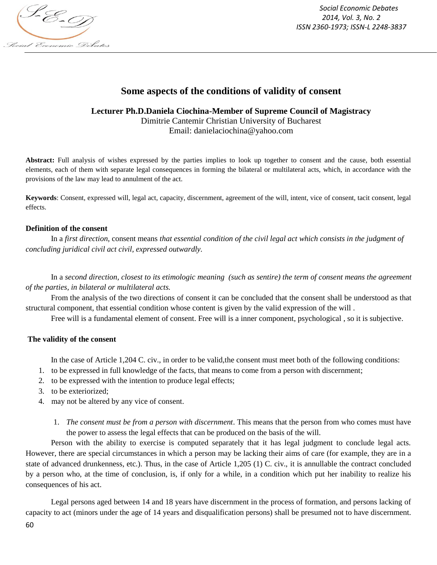

*Social Economic Debates 2014, Vol. 3, No. 2 ISSN 2360-1973; ISSN-L 2248-3837*

# **Some aspects of the conditions of validity of consent**

**Lecturer Ph.D.Daniela Ciochina-Member of Supreme Council of Magistracy** Dimitrie Cantemir Christian University of Bucharest Email: danielaciochina@yahoo.com

**Abstract:** Full analysis of wishes expressed by the parties implies to look up together to consent and the cause, both essential elements, each of them with separate legal consequences in forming the bilateral or multilateral acts, which, in accordance with the provisions of the law may lead to annulment of the act.

**Keywords**: Consent, expressed will, legal act, capacity, discernment, agreement of the will, intent, vice of consent, tacit consent, legal effects.

### **Definition of the consent**

In a *first direction*, consent means *that essential condition of the civil legal act which consists in the judgment of concluding juridical civil act civil, expressed outwardly.*

In a *second direction, closest to its etimologic meaning (such as sentire) the term of consent means the agreement of the parties, in bilateral or multilateral acts.*

From the analysis of the two directions of consent it can be concluded that the consent shall be understood as that structural component, that essential condition whose content is given by the valid expression of the will .

Free will is a fundamental element of consent. Free will is a inner component, psychological , so it is subjective.

# **The validity of the consent**

In the case of Article 1,204 C. civ., in order to be valid,the consent must meet both of the following conditions:

- 1. to be expressed in full knowledge of the facts, that means to come from a person with discernment;
- 2. to be expressed with the intention to produce legal effects;
- 3. to be exteriorized;
- 4. may not be altered by any vice of consent.
	- 1. *The consent must be from a person with discernment*. This means that the person from who comes must have the power to assess the legal effects that can be produced on the basis of the will.

Person with the ability to exercise is computed separately that it has legal judgment to conclude legal acts. However, there are special circumstances in which a person may be lacking their aims of care (for example, they are in a state of advanced drunkenness, etc.). Thus, in the case of Article 1,205 (1) C. civ., it is annullable the contract concluded by a person who, at the time of conclusion, is, if only for a while, in a condition which put her inability to realize his consequences of his act.

Legal persons aged between 14 and 18 years have discernment in the process of formation, and persons lacking of capacity to act (minors under the age of 14 years and disqualification persons) shall be presumed not to have discernment.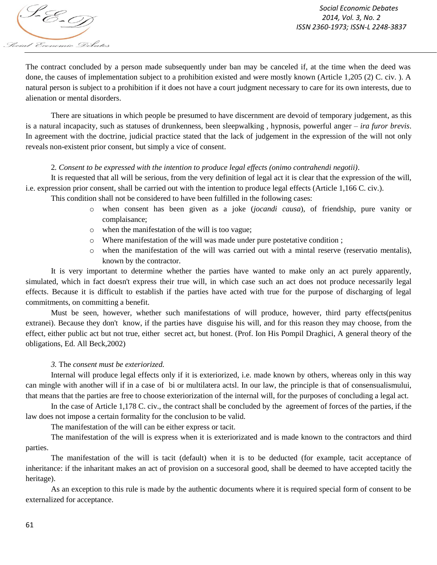

The contract concluded by a person made subsequently under ban may be canceled if, at the time when the deed was done, the causes of implementation subject to a prohibition existed and were mostly known (Article 1,205 (2) C. civ. ). A natural person is subject to a prohibition if it does not have a court judgment necessary to care for its own interests, due to alienation or mental disorders.

There are situations in which people be presumed to have discernment are devoid of temporary judgement, as this is a natural incapacity, such as statuses of drunkenness, been sleepwalking , hypnosis, powerful anger – *ira furor brevis*. In agreement with the doctrine, judicial practice stated that the lack of judgement in the expression of the will not only reveals non-existent prior consent, but simply a vice of consent.

### 2*. Consent to be expressed with the intention to produce legal effects (onimo contrahendi negotii)*.

It is requested that all will be serious, from the very definition of legal act it is clear that the expression of the will, i.e. expression prior consent, shall be carried out with the intention to produce legal effects (Article 1,166 C. civ.).

This condition shall not be considered to have been fulfilled in the following cases:

- o when consent has been given as a joke (*jocandi causa*), of friendship, pure vanity or complaisance;
- o when the manifestation of the will is too vague;
- o Where manifestation of the will was made under pure postetative condition ;
- o when the manifestation of the will was carried out with a mintal reserve (reservatio mentalis), known by the contractor.

It is very important to determine whether the parties have wanted to make only an act purely apparently, simulated, which in fact doesn't express their true will, in which case such an act does not produce necessarily legal effects. Because it is difficult to establish if the parties have acted with true for the purpose of discharging of legal commitments, on committing a benefit.

Must be seen, however, whether such manifestations of will produce, however, third party effects(penitus extranei). Because they don't know, if the parties have disguise his will, and for this reason they may choose, from the effect, either public act but not true, either secret act, but honest. (Prof. Ion His Pompil Draghici, A general theory of the obligations, Ed. All Beck,2002)

# *3.* The *consent must be exteriorized.*

Internal will produce legal effects only if it is exteriorized, i.e. made known by others, whereas only in this way can mingle with another will if in a case of bi or multilatera actsl. In our law, the principle is that of consensualismului, that means that the parties are free to choose exteriorization of the internal will, for the purposes of concluding a legal act.

In the case of Article 1,178 C. civ., the contract shall be concluded by the agreement of forces of the parties, if the law does not impose a certain formality for the conclusion to be valid.

The manifestation of the will can be either express or tacit.

The manifestation of the will is express when it is exteriorizated and is made known to the contractors and third parties.

The manifestation of the will is tacit (default) when it is to be deducted (for example, tacit acceptance of inheritance: if the inharitant makes an act of provision on a succesoral good, shall be deemed to have accepted tacitly the heritage).

As an exception to this rule is made by the authentic documents where it is required special form of consent to be externalized for acceptance.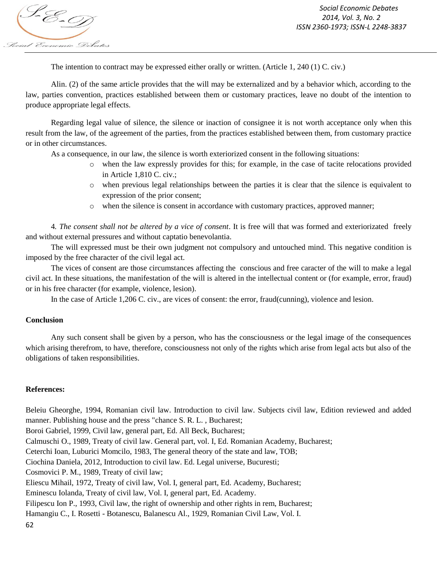The intention to contract may be expressed either orally or written. (Article 1, 240 (1) C. civ.)

Alin. (2) of the same article provides that the will may be externalized and by a behavior which, according to the law, parties convention, practices established between them or customary practices, leave no doubt of the intention to produce appropriate legal effects.

Regarding legal value of silence, the silence or inaction of consignee it is not worth acceptance only when this result from the law, of the agreement of the parties, from the practices established between them, from customary practice or in other circumstances.

As a consequence, in our law, the silence is worth exteriorized consent in the following situations:

- o when the law expressly provides for this; for example, in the case of tacite relocations provided in Article 1,810 C. civ.;
- o when previous legal relationships between the parties it is clear that the silence is equivalent to expression of the prior consent;
- o when the silence is consent in accordance with customary practices, approved manner;

4*. The consent shall not be altered by a vice of consent*. It is free will that was formed and exteriorizated freely and without external pressures and without captatio benevolantia.

The will expressed must be their own judgment not compulsory and untouched mind. This negative condition is imposed by the free character of the civil legal act.

The vices of consent are those circumstances affecting the conscious and free caracter of the will to make a legal civil act. In these situations, the manifestation of the will is altered in the intellectual content or (for example, error, fraud) or in his free character (for example, violence, lesion).

In the case of Article 1,206 C. civ., are vices of consent: the error, fraud(cunning), violence and lesion.

# **Conclusion**

Any such consent shall be given by a person, who has the consciousness or the legal image of the consequences which arising therefrom, to have, therefore, consciousness not only of the rights which arise from legal acts but also of the obligations of taken responsibilities.

# **References:**

62 Beleiu Gheorghe, 1994, Romanian civil law. Introduction to civil law. Subjects civil law, Edition reviewed and added manner. Publishing house and the press "chance S. R. L. , Bucharest; Boroi Gabriel, 1999, Civil law, general part, Ed. All Beck, Bucharest; Calmuschi O., 1989, Treaty of civil law. General part, vol. I, Ed. Romanian Academy, Bucharest; Ceterchi Ioan, Luburici Momcilo, 1983, The general theory of the state and law, TOB; Ciochina Daniela, 2012, Introduction to civil law. Ed. Legal universe, Bucuresti; Cosmovici P. M., 1989, Treaty of civil law; Eliescu Mihail, 1972, Treaty of civil law, Vol. I, general part, Ed. Academy, Bucharest; Eminescu Iolanda, Treaty of civil law, Vol. I, general part, Ed. Academy. Filipescu Ion P., 1993, Civil law, the right of ownership and other rights in rem, Bucharest; Hamangiu C., I. Rosetti - Botanescu, Balanescu Al., 1929, Romanian Civil Law, Vol. I.